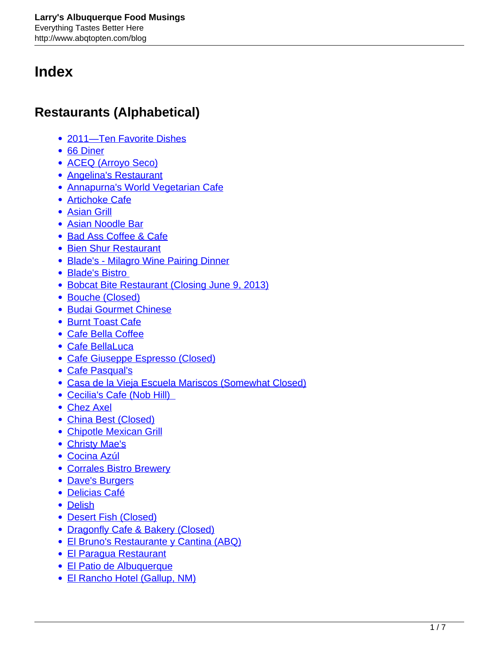# **Index**

## **Restaurants (Alphabetical)**

- [2011—Ten Favorite Dishes](http://www.abqtopten.com/blog/2011-ten-favorite-dishes/)
- [66 Diner](http://www.abqtopten.com/blog/66-diner/)
- [ACEQ \(Arroyo Seco\)](http://www.abqtopten.com/blog/aceq/)
- [Angelina's Restaurant](http://www.abqtopten.com/blog/angelinas-restaurant/)
- [Annapurna's World Vegetarian Cafe](http://www.abqtopten.com/blog/annapurnas-world-vegetarian-cafe/)
- [Artichoke Cafe](http://www.abqtopten.com/blog/artichoke-cafe/)
- [Asian Grill](http://www.abqtopten.com/blog/asian-grill/)
- [Asian Noodle Bar](http://www.abqtopten.com/blog/asian-noodle-bar/)
- [Bad Ass Coffee & Cafe](http://www.abqtopten.com/blog/bad-ass-coffee-cafe/)
- [Bien Shur Restaurant](http://www.abqtopten.com/blog/bien-shur-restaurant/)
- [Blade's Milagro Wine Pairing Dinner](http://www.abqtopten.com/blog/blades-milagro-wine-pairing-dinner/)
- Blade's Bistro
- [Bobcat Bite Restaurant \(Closing June 9, 2013\)](http://www.abqtopten.com/blog/bobcat-bite-restaurant/)
- [Bouche \(Closed\)](http://www.abqtopten.com/blog/bouche/)
- [Budai Gourmet Chinese](http://www.abqtopten.com/blog/budai-gourmet-chinese/)
- [Burnt Toast Cafe](http://www.abqtopten.com/blog/burnt-toast-cafe/)
- [Cafe Bella Coffee](http://www.abqtopten.com/blog/cafe-bella-coffee/)
- [Cafe BellaLuca](http://www.abqtopten.com/blog/cafe-bellaluca/)
- [Cafe Giuseppe Espresso \(Closed\)](http://www.abqtopten.com/blog/cafe-giuseppe-espresso/)
- [Cafe Pasqual's](http://www.abqtopten.com/blog/cafe-pasquals/)
- [Casa de la Vieja Escuela Mariscos \(Somewhat Closed\)](http://www.abqtopten.com/blog/casa-de-la-vieja-escuela-mariscos/)
- [Cecilia's Cafe \(Nob Hill\)](http://www.abqtopten.com/blog/cecilias-cafe-nob-hill/)
- [Chez Axel](http://www.abqtopten.com/blog/chez-axel/)
- [China Best \(Closed\)](http://www.abqtopten.com/blog/china-best/)
- [Chipotle Mexican Grill](http://www.abqtopten.com/blog/chipotle-mexican-grill/)
- [Christy Mae's](http://www.abqtopten.com/blog/christy-maes/)
- [Cocina Azúl](http://www.abqtopten.com/blog/cocina-azul/)
- [Corrales Bistro Brewery](http://www.abqtopten.com/blog/corrales-bistro-brewery/)
- [Dave's Burgers](http://www.abqtopten.com/blog/daves-burgers/)
- [Delicias Café](http://www.abqtopten.com/blog/delicias-cafe/)
- [Delish](http://www.abqtopten.com/blog/delish/)
- [Desert Fish \(Closed\)](http://www.abqtopten.com/blog/desert-fish/)
- [Dragonfly Cafe & Bakery \(Closed\)](http://www.abqtopten.com/blog/dragonfly-cafe-bakery/)
- [El Bruno's Restaurante y Cantina \(ABQ\)](http://www.abqtopten.com/blog/el-brunos-restaurante-y-cantina-abq/)
- [El Paragua Restaurant](http://www.abqtopten.com/blog/el-paragua-restaurant/)
- [El Patio de Albuquerque](http://www.abqtopten.com/blog/el-patio-de-albuquerque/)
- [El Rancho Hotel \(Gallup, NM\)](http://www.abqtopten.com/blog/el-rancho-hotel-gallup-nm/)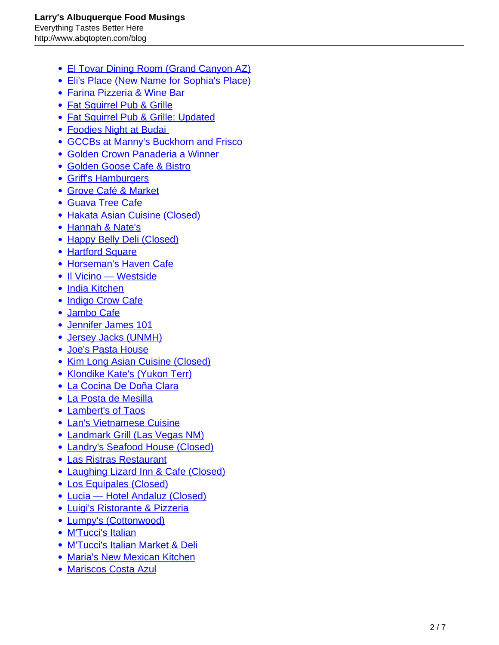- [El Tovar Dining Room \(Grand Canyon AZ\)](http://www.abqtopten.com/blog/el-tovar-dining-room-grand-canyon-az/)
- [Eli's Place \(New Name for Sophia's Place\)](http://www.abqtopten.com/blog/sophias-place/)
- [Farina Pizzeria & Wine Bar](http://www.abqtopten.com/blog/farina-pizzeria-wine-bar/)
- [Fat Squirrel Pub & Grille](http://www.abqtopten.com/blog/fat-squirrel-pub-grille/)
- [Fat Squirrel Pub & Grille: Updated](http://www.abqtopten.com/blog/fat-squirrel-pub-grille-updated/)
- [Foodies Night at Budai](http://www.abqtopten.com/blog/foodies-night-at-budai/)
- [GCCBs at Manny's Buckhorn and Frisco](http://www.abqtopten.com/blog/gccbs-at-mannys-buckhorn-and-frisco/)
- [Golden Crown Panaderia a Winner](http://www.abqtopten.com/blog/golden-crown-panaderia-a-winner/)
- [Golden Goose Cafe & Bistro](http://www.abqtopten.com/blog/golden-goose-cafe-bistro/)
- [Griff's Hamburgers](http://www.abqtopten.com/blog/930/)
- [Grove Café & Market](http://www.abqtopten.com/blog/grove-cafe-market/)
- [Guava Tree Cafe](http://www.abqtopten.com/blog/guava-tree-cafe/)
- [Hakata Asian Cuisine \(Closed\)](http://www.abqtopten.com/blog/hakata-asian-cuisine-grill/)
- [Hannah & Nate's](http://www.abqtopten.com/blog/hannah-nates/)
- [Happy Belly Deli \(Closed\)](http://www.abqtopten.com/blog/happy-belly-deli/)
- [Hartford Square](http://www.abqtopten.com/blog/hartford-square/)
- [Horseman's Haven Cafe](http://www.abqtopten.com/blog/horsemans-haven-cafe/)
- [Il Vicino Westside](http://www.abqtopten.com/blog/il-vicino-westside/)
- [India Kitchen](http://www.abqtopten.com/blog/india-kitchen/)
- [Indigo Crow Cafe](http://www.abqtopten.com/blog/indigo-crow-cafe/)
- [Jambo Cafe](http://www.abqtopten.com/blog/jambo-cafe/)
- [Jennifer James 101](http://www.abqtopten.com/blog/jennifer-james-101/)
- [Jersey Jacks \(UNMH\)](http://www.abqtopten.com/blog/jersey-jacks-unmh/)
- [Joe's Pasta House](http://www.abqtopten.com/blog/joes-pasta-house/)
- [Kim Long Asian Cuisine \(Closed\)](http://www.abqtopten.com/blog/kim-long-asian-cuisine/)
- [Klondike Kate's \(Yukon Terr\)](http://www.abqtopten.com/blog/klondike-kates-yukon-terr/)
- [La Cocina De Doña Clara](http://www.abqtopten.com/blog/la-cocina-de-dona-clara/)
- [La Posta de Mesilla](http://www.abqtopten.com/blog/la-posta-de-mesilla/)
- [Lambert's of Taos](http://www.abqtopten.com/blog/lamberts/)
- [Lan's Vietnamese Cuisine](http://www.abqtopten.com/blog/lans-vietnamese-cuisine/)
- [Landmark Grill \(Las Vegas NM\)](http://www.abqtopten.com/blog/landmark-grill-las-vegas-nm/)
- [Landry's Seafood House \(Closed\)](http://www.abqtopten.com/blog/landrys-seafood-house/)
- [Las Ristras Restaurant](http://www.abqtopten.com/blog/las-ristras-restaurant/)
- [Laughing Lizard Inn & Cafe \(Closed\)](http://www.abqtopten.com/blog/laughing-lizard-inn-cafe/)
- [Los Equipales \(Closed\)](http://www.abqtopten.com/blog/los-equipales/)
- [Lucia Hotel Andaluz \(Closed\)](http://www.abqtopten.com/blog/lucia/)
- [Luigi's Ristorante & Pizzeria](http://www.abqtopten.com/blog/luigis-ristorante-pizzeria/)
- [Lumpy's \(Cottonwood\)](http://www.abqtopten.com/blog/lumpts-cottonwood/)
- [M'Tucci's Italian](http://www.abqtopten.com/blog/mtuccis-italian/)
- [M'Tucci's Italian Market & Deli](http://www.abqtopten.com/blog/mtuccis-italian-market-deli/)
- [Maria's New Mexican Kitchen](http://www.abqtopten.com/blog/marias-new-mexican-kitchen/)
- [Mariscos Costa Azul](http://www.abqtopten.com/blog/mariscos-costa-azul/)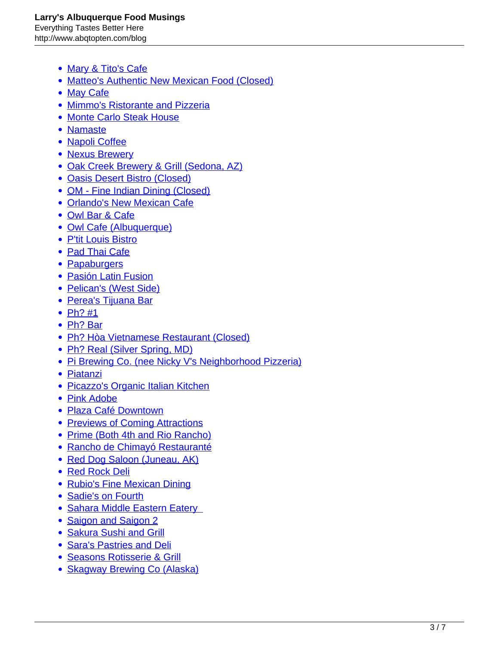- [Mary & Tito's Cafe](http://www.abqtopten.com/blog/mary-titos/)
- [Matteo's Authentic New Mexican Food \(Closed\)](http://www.abqtopten.com/blog/matteos-authentic-new-mexican-food/)
- [May Cafe](http://www.abqtopten.com/blog/may-cafe/)
- [Mimmo's Ristorante and Pizzeria](http://www.abqtopten.com/blog/mimmos-ristorante-and-pizzeria/)
- [Monte Carlo Steak House](http://www.abqtopten.com/blog/monte-carlo-steak-house/)
- [Namaste](http://www.abqtopten.com/blog/namaste/)
- [Napoli Coffee](http://www.abqtopten.com/blog/napoli-coffee/)
- [Nexus Brewery](http://www.abqtopten.com/blog/nexus-brewery/)
- [Oak Creek Brewery & Grill \(Sedona, AZ\)](http://www.abqtopten.com/blog/oak-creek-brewery-grill-sedona-az/)
- **[Oasis Desert Bistro \(Closed\)](http://www.abqtopten.com/blog/oasis-coffee-tea-the-oasis/)**
- [OM Fine Indian Dining \(Closed\)](http://www.abqtopten.com/blog/paddy-rawals-om-fine-indian-dining/)
- [Orlando's New Mexican Cafe](http://www.abqtopten.com/blog/orlandos-new-mexican-cafe/)
- [Owl Bar & Cafe](http://www.abqtopten.com/blog/owl-bar-cafe/)
- [Owl Cafe \(Albuquerque\)](http://www.abqtopten.com/blog/owl-cafe-albuquerque/)
- [P'tit Louis Bistro](http://www.abqtopten.com/blog/ptit-louis-bistro/)
- [Pad Thai Cafe](http://www.abqtopten.com/blog/pad-thai-cafe/)
- [Papaburgers](http://www.abqtopten.com/blog/papaburgers/)
- [Pasión Latin Fusion](http://www.abqtopten.com/blog/pasion-latin-fusion/)
- [Pelican's \(West Side\)](http://www.abqtopten.com/blog/pelicans-west-side/)
- [Perea's Tijuana Bar](http://www.abqtopten.com/blog/pereas-tijuana-bar/)
- $\bullet$  [Ph? #1](http://www.abqtopten.com/blog/pho-1/)
- [Ph? Bar](http://www.abqtopten.com/blog/ph%e1%bb%9f-bar/)
- [Ph? Hòa Vietnamese Restaurant \(Closed\)](http://www.abqtopten.com/blog/pho-hoa-vietnamese-restaurant/)
- [Ph? Real \(Silver Spring, MD\)](http://www.abqtopten.com/blog/pho-real/)
- [Pi Brewing Co. \(nee Nicky V's Neighborhood Pizzeria\)](http://www.abqtopten.com/blog/nicky-vs-neighborhood-pizzeria/)
- [Piatanzi](http://www.abqtopten.com/blog/bistro-piattini/)
- **[Picazzo's Organic Italian Kitchen](http://www.abqtopten.com/blog/picazzos-organic-italian-kitchen/)**
- [Pink Adobe](http://www.abqtopten.com/blog/the-pink-adobe/)
- [Plaza Café Downtown](http://www.abqtopten.com/blog/plaza-cafe-downtown/)
- [Previews of Coming Attractions](http://www.abqtopten.com/blog/previews-of-coming-attractions/)
- [Prime \(Both 4th and Rio Rancho\)](http://www.abqtopten.com/blog/prime/)
- [Rancho de Chimayó Restauranté](http://www.abqtopten.com/blog/rancho-de-chimayo-restaurante/)
- [Red Dog Saloon \(Juneau, AK\)](http://www.abqtopten.com/blog/red-dog-saloon-juneau-ak/)
- [Red Rock Deli](http://www.abqtopten.com/blog/red-rock-deli/)
- [Rubio's Fine Mexican Dining](http://www.abqtopten.com/blog/rubios-fine-mexican-dining/)
- [Sadie's on Fourth](http://www.abqtopten.com/blog/sadies-on-fourth/)
- Sahara Middle Eastern Eatery
- [Saigon and Saigon 2](http://www.abqtopten.com/blog/saigon/)
- [Sakura Sushi and Grill](http://www.abqtopten.com/blog/sakura-sushi-and-grill/)
- [Sara's Pastries and Deli](http://www.abqtopten.com/blog/saras-pastries-and-deli/)
- [Seasons Rotisserie & Grill](http://www.abqtopten.com/blog/seasons-rotisserie-grill/)
- [Skagway Brewing Co \(Alaska\)](http://www.abqtopten.com/blog/skagway-brewing-co-alaska/)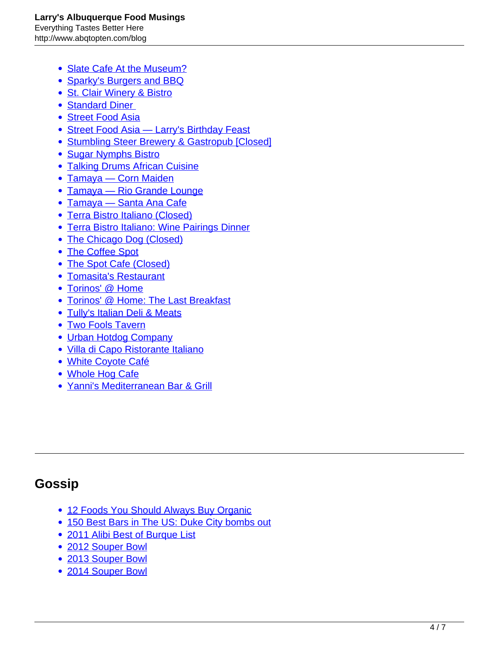- [Slate Cafe At the Museum?](http://www.abqtopten.com/blog/slate-cafe-at-the-museum%e2%80%8e/)
- [Sparky's Burgers and BBQ](http://www.abqtopten.com/blog/sparkys-burgers-and-bbq/)
- [St. Clair Winery & Bistro](http://www.abqtopten.com/blog/st-clair-winery-bistro/)
- Standard Diner
- [Street Food Asia](http://www.abqtopten.com/blog/street-food-asia/)
- [Street Food Asia Larry's Birthday Feast](http://www.abqtopten.com/blog/street-food-asia-larrys-birthday-feast/)
- [Stumbling Steer Brewery & Gastropub \[Closed\]](http://www.abqtopten.com/blog/stumbling-steer-brewery-gastropub/)
- [Sugar Nymphs Bistro](http://www.abqtopten.com/blog/sugar-nymphs-bistro/)
- [Talking Drums African Cuisine](http://www.abqtopten.com/blog/talking-drums-african-cuisine/)
- [Tamaya Corn Maiden](http://www.abqtopten.com/blog/tamaya-corn-maiden/)
- [Tamaya Rio Grande Lounge](http://www.abqtopten.com/blog/tamaya-rio-grande-lounge/)
- [Tamaya Santa Ana Cafe](http://www.abqtopten.com/blog/tamaya-santa-ana-cafe/)
- [Terra Bistro Italiano \(Closed\)](http://www.abqtopten.com/blog/terra-bistro-italiano/)
- **[Terra Bistro Italiano: Wine Pairings Dinner](http://www.abqtopten.com/blog/terra-bistro-italiano-wine-pairings-dinner/)**
- [The Chicago Dog \(Closed\)](http://www.abqtopten.com/blog/the-chicago-dog/)
- [The Coffee Spot](http://www.abqtopten.com/blog/the-coffee-spot/)
- [The Spot Cafe \(Closed\)](http://www.abqtopten.com/blog/the-spot-cafe/)
- [Tomasita's Restaurant](http://www.abqtopten.com/blog/tomasitas-restaurant/)
- [Torinos' @ Home](http://www.abqtopten.com/blog/torinos-home/)
- [Torinos' @ Home: The Last Breakfast](http://www.abqtopten.com/blog/torinos-home-the-last-breakfast/)
- [Tully's Italian Deli & Meats](http://www.abqtopten.com/blog/tullys-italian-deli-meats/)
- [Two Fools Tavern](http://www.abqtopten.com/blog/two-fools-tavern/)
- [Urban Hotdog Company](http://www.abqtopten.com/blog/urban-hotdog-company/)
- [Villa di Capo Ristorante Italiano](http://www.abqtopten.com/blog/villa-di-capo-ristorante-italiano/)
- [White Coyote Café](http://www.abqtopten.com/blog/white-coyote-cafe/)
- [Whole Hog Cafe](http://www.abqtopten.com/blog/whole-hog-cafe/)
- [Yanni's Mediterranean Bar & Grill](http://www.abqtopten.com/blog/yannis-mediterranean-bar-grill/)

### **Gossip**

- [12 Foods You Should Always Buy Organic](http://www.abqtopten.com/blog/12-foods-you-should-always-buy-organic/)
- [150 Best Bars in The US: Duke City bombs out](http://www.abqtopten.com/blog/150-best-bars-in-the-us-duke-city-bombs-out/)
- [2011 Alibi Best of Burque List](http://www.abqtopten.com/blog/2011-alibi-best-of-burque-list/)
- [2012 Souper Bowl](http://www.abqtopten.com/blog/2012-souper-bowl/)
- [2013 Souper Bowl](http://www.abqtopten.com/blog/2013-souper-bowl/)
- [2014 Souper Bowl](http://www.abqtopten.com/blog/2014-souper-bowl/)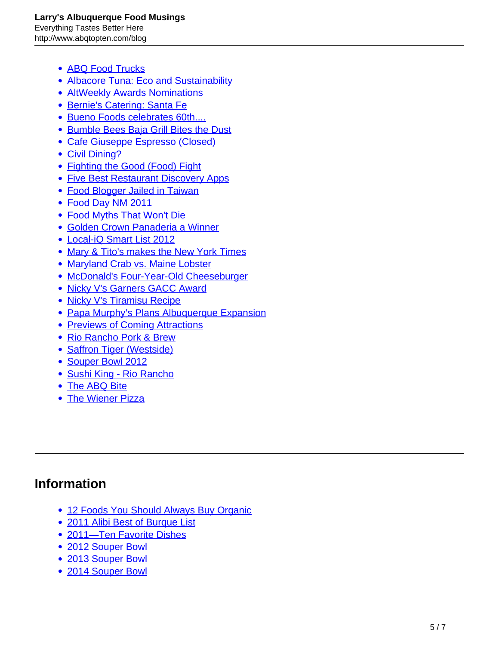- [ABQ Food Trucks](http://www.abqtopten.com/blog/abq-food-trucks/)
- [Albacore Tuna: Eco and Sustainability](http://www.abqtopten.com/blog/albacore-tuna-eco-and-sustainability/)
- [AltWeekly Awards Nominations](http://www.abqtopten.com/blog/altweekly-awards-nominations/)
- **[Bernie's Catering: Santa Fe](http://www.abqtopten.com/blog/bernies-catering-santa-fe/)**
- [Bueno Foods celebrates 60th....](http://www.abqtopten.com/blog/bueno-foods-celebrates-60th/)
- **[Bumble Bees Baja Grill Bites the Dust](http://www.abqtopten.com/blog/bumble-bees-baja-grill-bites-the-dust/)**
- [Cafe Giuseppe Espresso \(Closed\)](http://www.abqtopten.com/blog/cafe-giuseppe-espresso/)
- [Civil Dining?](http://www.abqtopten.com/blog/civil-dining/)
- [Fighting the Good \(Food\) Fight](http://www.abqtopten.com/blog/fighting-the-good-food-fight/)
- [Five Best Restaurant Discovery Apps](http://www.abqtopten.com/blog/five-best-restaurant-discovery-apps/)
- [Food Blogger Jailed in Taiwan](http://www.abqtopten.com/blog/food-blogger-jailed-in-taiwan/)
- [Food Day NM 2011](http://www.abqtopten.com/blog/food-day-nm-2011/)
- [Food Myths That Won't Die](http://www.abqtopten.com/blog/food-myths-that-wont-die/)
- [Golden Crown Panaderia a Winner](http://www.abqtopten.com/blog/golden-crown-panaderia-a-winner/)
- [Local-iQ Smart List 2012](http://www.abqtopten.com/blog/local-iq-smart-list-2012/)
- [Mary & Tito's makes the New York Times](http://www.abqtopten.com/blog/mary-titos-makes-the-new-york-times/)
- [Maryland Crab vs. Maine Lobster](http://www.abqtopten.com/blog/maryland-crab-v-maine-lobster/)
- [McDonald's Four-Year-Old Cheeseburger](http://www.abqtopten.com/blog/mcdonalds-four-year-old-cheeseburge/)
- [Nicky V's Garners GACC Award](http://www.abqtopten.com/blog/429/)
- [Nicky V's Tiramisu Recipe](http://www.abqtopten.com/blog/nicky-vs-tiramisu-recipe/)
- [Papa Murphy's Plans Albuquerque Expansion](http://www.abqtopten.com/blog/papa-murphy%e2%80%99s-plans-albuquerque-expansion/)
- [Previews of Coming Attractions](http://www.abqtopten.com/blog/previews-of-coming-attractions/)
- [Rio Rancho Pork & Brew](http://www.abqtopten.com/blog/rio-rancho-pork-brew/)
- [Saffron Tiger \(Westside\)](http://www.abqtopten.com/blog/saffron-tiger-westside/)
- [Souper Bowl 2012](http://www.abqtopten.com/blog/souper-bowl-2012/)
- [Sushi King Rio Rancho](http://www.abqtopten.com/blog/sushi-king-rio-rancho/)
- [The ABQ Bite](http://www.abqtopten.com/blog/the-abq-bite/)
- [The Wiener Pizza](http://www.abqtopten.com/blog/the-wiener-pizza/)

#### **Information**

- [12 Foods You Should Always Buy Organic](http://www.abqtopten.com/blog/12-foods-you-should-always-buy-organic/)
- [2011 Alibi Best of Burque List](http://www.abqtopten.com/blog/2011-alibi-best-of-burque-list/)
- [2011—Ten Favorite Dishes](http://www.abqtopten.com/blog/2011-ten-favorite-dishes/)
- [2012 Souper Bowl](http://www.abqtopten.com/blog/2012-souper-bowl/)
- [2013 Souper Bowl](http://www.abqtopten.com/blog/2013-souper-bowl/)
- [2014 Souper Bowl](http://www.abqtopten.com/blog/2014-souper-bowl/)